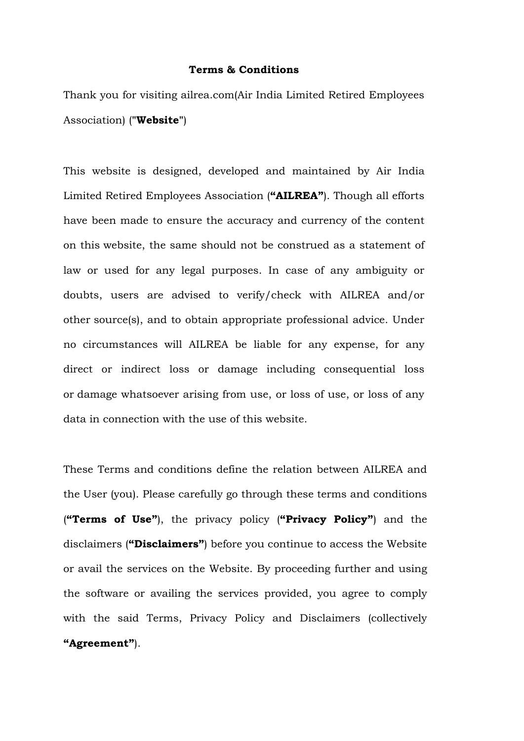#### **Terms & Conditions**

Thank you for visiting ailrea.com(Air India Limited Retired Employees Association) (**"Website"**)

This website is designed, developed and maintained by Air India Limited Retired Employees Association (**"AILREA"**). Though all efforts have been made to ensure the accuracy and currency of the content on this website, the same should not be construed as a statement of law or used for any legal purposes. In case of any ambiguity or doubts, users are advised to verify/check with AILREA and/or other source(s), and to obtain appropriate professional advice. Under no circumstances will AILREA be liable for any expense, for any direct or indirect loss or damage including consequential loss or damage whatsoever arising from use, or loss of use, or loss of any data in connection with the use of this website.

These Terms and conditions define the relation between AILREA and the User (you). Please carefully go through these terms and conditions (**"Terms of Use"**), the privacy policy (**"Privacy Policy"**) and the disclaimers (**"Disclaimers"**) before you continue to access the Website or avail the services on the Website. By proceeding further and using the software or availing the services provided, you agree to comply with the said Terms, Privacy Policy and Disclaimers (collectively **"Agreement"**).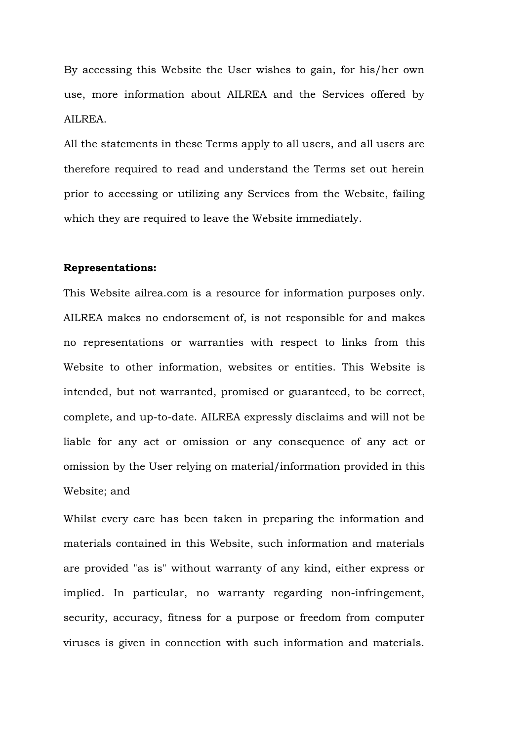By accessing this Website the User wishes to gain, for his/her own use, more information about AILREA and the Services offered by AILREA.

All the statements in these Terms apply to all users, and all users are therefore required to read and understand the Terms set out herein prior to accessing or utilizing any Services from the Website, failing which they are required to leave the Website immediately.

## **Representations:**

This Website ailrea.com is a resource for information purposes only. AILREA makes no endorsement of, is not responsible for and makes no representations or warranties with respect to links from this Website to other information, websites or entities. This Website is intended, but not warranted, promised or guaranteed, to be correct, complete, and up-to-date. AILREA expressly disclaims and will not be liable for any act or omission or any consequence of any act or omission by the User relying on material/information provided in this Website; and

Whilst every care has been taken in preparing the information and materials contained in this Website, such information and materials are provided "as is" without warranty of any kind, either express or implied. In particular, no warranty regarding non-infringement, security, accuracy, fitness for a purpose or freedom from computer viruses is given in connection with such information and materials.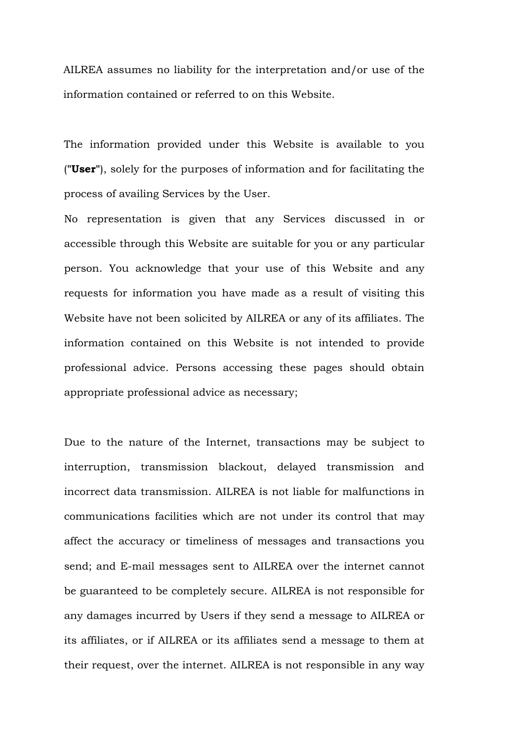AILREA assumes no liability for the interpretation and/or use of the information contained or referred to on this Website.

The information provided under this Website is available to you (**"User"**), solely for the purposes of information and for facilitating the process of availing Services by the User.

No representation is given that any Services discussed in or accessible through this Website are suitable for you or any particular person. You acknowledge that your use of this Website and any requests for information you have made as a result of visiting this Website have not been solicited by AILREA or any of its affiliates. The information contained on this Website is not intended to provide professional advice. Persons accessing these pages should obtain appropriate professional advice as necessary;

Due to the nature of the Internet, transactions may be subject to interruption, transmission blackout, delayed transmission and incorrect data transmission. AILREA is not liable for malfunctions in communications facilities which are not under its control that may affect the accuracy or timeliness of messages and transactions you send; and E-mail messages sent to AILREA over the internet cannot be guaranteed to be completely secure. AILREA is not responsible for any damages incurred by Users if they send a message to AILREA or its affiliates, or if AILREA or its affiliates send a message to them at their request, over the internet. AILREA is not responsible in any way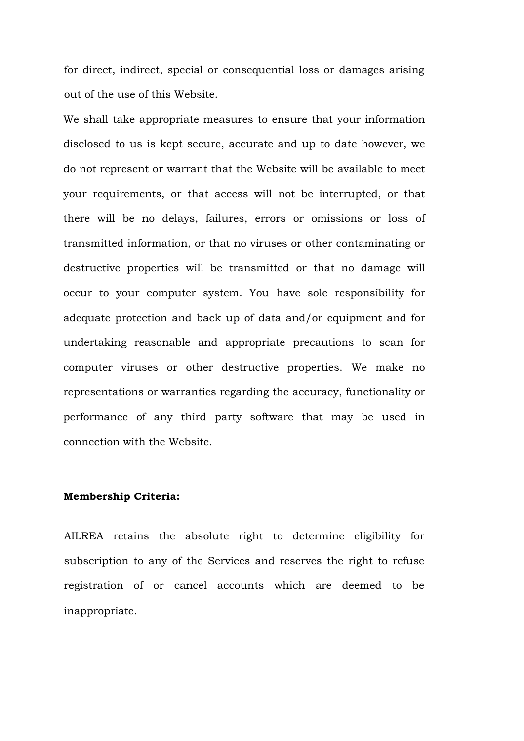for direct, indirect, special or consequential loss or damages arising out of the use of this Website.

We shall take appropriate measures to ensure that your information disclosed to us is kept secure, accurate and up to date however, we do not represent or warrant that the Website will be available to meet your requirements, or that access will not be interrupted, or that there will be no delays, failures, errors or omissions or loss of transmitted information, or that no viruses or other contaminating or destructive properties will be transmitted or that no damage will occur to your computer system. You have sole responsibility for adequate protection and back up of data and/or equipment and for undertaking reasonable and appropriate precautions to scan for computer viruses or other destructive properties. We make no representations or warranties regarding the accuracy, functionality or performance of any third party software that may be used in connection with the Website.

# **Membership Criteria:**

AILREA retains the absolute right to determine eligibility for subscription to any of the Services and reserves the right to refuse registration of or cancel accounts which are deemed to be inappropriate.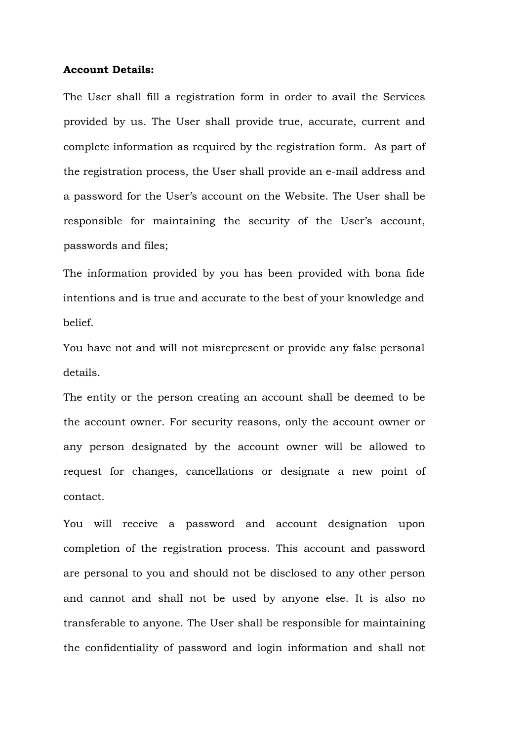#### **Account Details:**

The User shall fill a registration form in order to avail the Services provided by us. The User shall provide true, accurate, current and complete information as required by the registration form. As part of the registration process, the User shall provide an e-mail address and a password for the User's account on the Website. The User shall be responsible for maintaining the security of the User's account, passwords and files;

The information provided by you has been provided with bona fide intentions and is true and accurate to the best of your knowledge and belief.

You have not and will not misrepresent or provide any false personal details.

The entity or the person creating an account shall be deemed to be the account owner. For security reasons, only the account owner or any person designated by the account owner will be allowed to request for changes, cancellations or designate a new point of contact.

You will receive a password and account designation upon completion of the registration process. This account and password are personal to you and should not be disclosed to any other person and cannot and shall not be used by anyone else. It is also no transferable to anyone. The User shall be responsible for maintaining the confidentiality of password and login information and shall not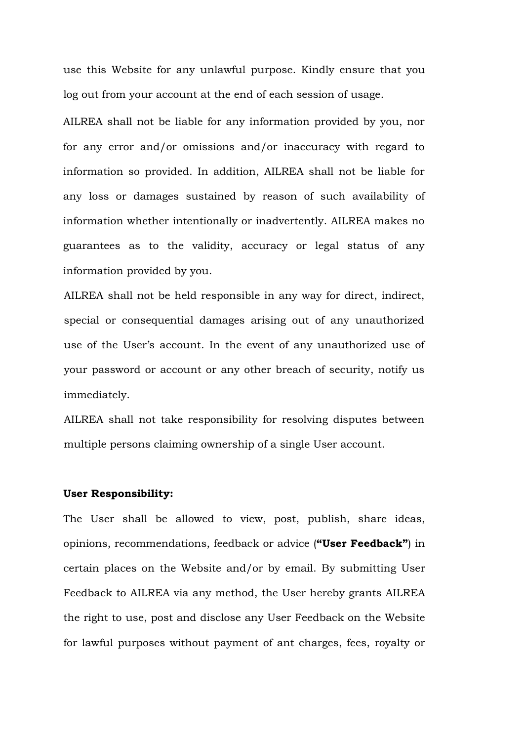use this Website for any unlawful purpose. Kindly ensure that you log out from your account at the end of each session of usage.

AILREA shall not be liable for any information provided by you, nor for any error and/or omissions and/or inaccuracy with regard to information so provided. In addition, AILREA shall not be liable for any loss or damages sustained by reason of such availability of information whether intentionally or inadvertently. AILREA makes no guarantees as to the validity, accuracy or legal status of any information provided by you.

AILREA shall not be held responsible in any way for direct, indirect, special or consequential damages arising out of any unauthorized use of the User's account. In the event of any unauthorized use of your password or account or any other breach of security, notify us immediately.

AILREA shall not take responsibility for resolving disputes between multiple persons claiming ownership of a single User account.

#### **User Responsibility:**

The User shall be allowed to view, post, publish, share ideas, opinions, recommendations, feedback or advice (**"User Feedback"**) in certain places on the Website and/or by email. By submitting User Feedback to AILREA via any method, the User hereby grants AILREA the right to use, post and disclose any User Feedback on the Website for lawful purposes without payment of ant charges, fees, royalty or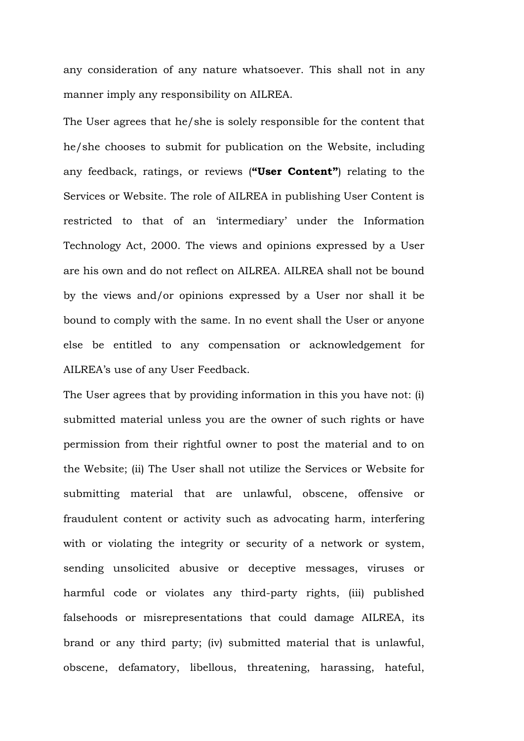any consideration of any nature whatsoever. This shall not in any manner imply any responsibility on AILREA.

The User agrees that he/she is solely responsible for the content that he/she chooses to submit for publication on the Website, including any feedback, ratings, or reviews (**"User Content"**) relating to the Services or Website. The role of AILREA in publishing User Content is restricted to that of an 'intermediary' under the Information Technology Act, 2000. The views and opinions expressed by a User are his own and do not reflect on AILREA. AILREA shall not be bound by the views and/or opinions expressed by a User nor shall it be bound to comply with the same. In no event shall the User or anyone else be entitled to any compensation or acknowledgement for AILREA's use of any User Feedback.

The User agrees that by providing information in this you have not: (i) submitted material unless you are the owner of such rights or have permission from their rightful owner to post the material and to on the Website; (ii) The User shall not utilize the Services or Website for submitting material that are unlawful, obscene, offensive or fraudulent content or activity such as advocating harm, interfering with or violating the integrity or security of a network or system, sending unsolicited abusive or deceptive messages, viruses or harmful code or violates any third-party rights, (iii) published falsehoods or misrepresentations that could damage AILREA, its brand or any third party; (iv) submitted material that is unlawful, obscene, defamatory, libellous, threatening, harassing, hateful,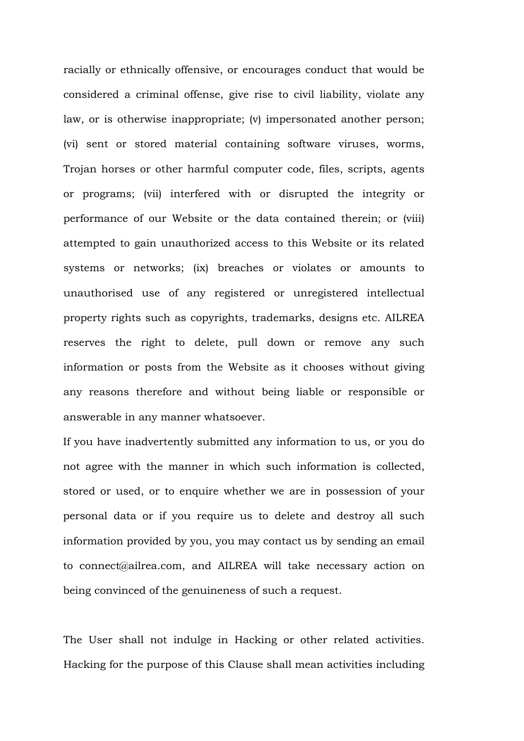racially or ethnically offensive, or encourages conduct that would be considered a criminal offense, give rise to civil liability, violate any law, or is otherwise inappropriate; (v) impersonated another person; (vi) sent or stored material containing software viruses, worms, Trojan horses or other harmful computer code, files, scripts, agents or programs; (vii) interfered with or disrupted the integrity or performance of our Website or the data contained therein; or (viii) attempted to gain unauthorized access to this Website or its related systems or networks; (ix) breaches or violates or amounts to unauthorised use of any registered or unregistered intellectual property rights such as copyrights, trademarks, designs etc. AILREA reserves the right to delete, pull down or remove any such information or posts from the Website as it chooses without giving any reasons therefore and without being liable or responsible or answerable in any manner whatsoever.

If you have inadvertently submitted any information to us, or you do not agree with the manner in which such information is collected, stored or used, or to enquire whether we are in possession of your personal data or if you require us to delete and destroy all such information provided by you, you may contact us by sending an email to connect@ailrea.com, and AILREA will take necessary action on being convinced of the genuineness of such a request.

The User shall not indulge in Hacking or other related activities. Hacking for the purpose of this Clause shall mean activities including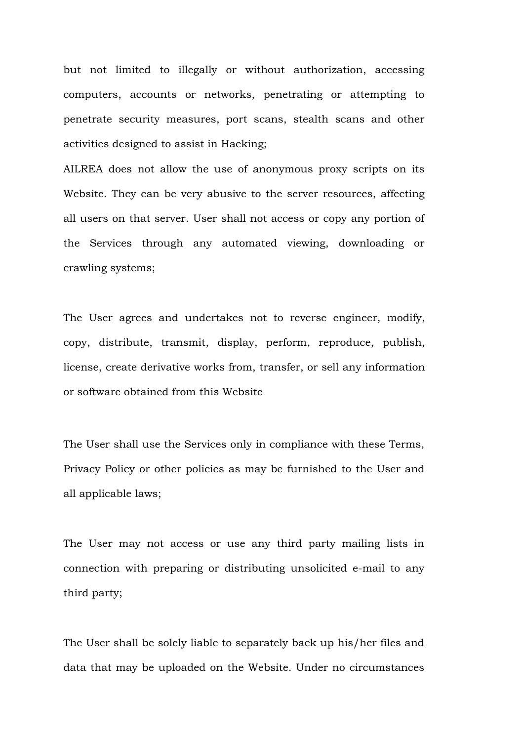but not limited to illegally or without authorization, accessing computers, accounts or networks, penetrating or attempting to penetrate security measures, port scans, stealth scans and other activities designed to assist in Hacking;

AILREA does not allow the use of anonymous proxy scripts on its Website. They can be very abusive to the server resources, affecting all users on that server. User shall not access or copy any portion of the Services through any automated viewing, downloading or crawling systems;

The User agrees and undertakes not to reverse engineer, modify, copy, distribute, transmit, display, perform, reproduce, publish, license, create derivative works from, transfer, or sell any information or software obtained from this Website

The User shall use the Services only in compliance with these Terms, Privacy Policy or other policies as may be furnished to the User and all applicable laws;

The User may not access or use any third party mailing lists in connection with preparing or distributing unsolicited e-mail to any third party;

The User shall be solely liable to separately back up his/her files and data that may be uploaded on the Website. Under no circumstances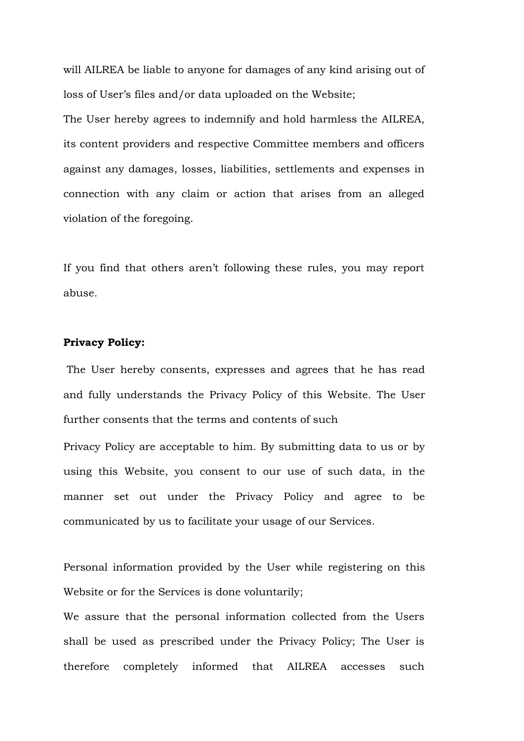will AILREA be liable to anyone for damages of any kind arising out of loss of User's files and/or data uploaded on the Website;

The User hereby agrees to indemnify and hold harmless the AILREA, its content providers and respective Committee members and officers against any damages, losses, liabilities, settlements and expenses in connection with any claim or action that arises from an alleged violation of the foregoing.

If you find that others aren't following these rules, you may report abuse.

# **Privacy Policy:**

The User hereby consents, expresses and agrees that he has read and fully understands the Privacy Policy of this Website. The User further consents that the terms and contents of such

Privacy Policy are acceptable to him. By submitting data to us or by using this Website, you consent to our use of such data, in the manner set out under the Privacy Policy and agree to be communicated by us to facilitate your usage of our Services.

Personal information provided by the User while registering on this Website or for the Services is done voluntarily;

We assure that the personal information collected from the Users shall be used as prescribed under the Privacy Policy; The User is therefore completely informed that AILREA accesses such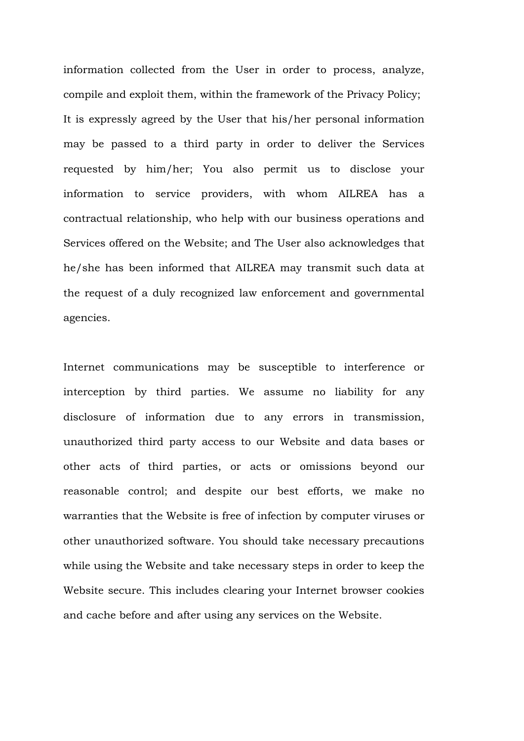information collected from the User in order to process, analyze, compile and exploit them, within the framework of the Privacy Policy; It is expressly agreed by the User that his/her personal information may be passed to a third party in order to deliver the Services requested by him/her; You also permit us to disclose your information to service providers, with whom AILREA has a contractual relationship, who help with our business operations and Services offered on the Website; and The User also acknowledges that he/she has been informed that AILREA may transmit such data at the request of a duly recognized law enforcement and governmental agencies.

Internet communications may be susceptible to interference or interception by third parties. We assume no liability for any disclosure of information due to any errors in transmission, unauthorized third party access to our Website and data bases or other acts of third parties, or acts or omissions beyond our reasonable control; and despite our best efforts, we make no warranties that the Website is free of infection by computer viruses or other unauthorized software. You should take necessary precautions while using the Website and take necessary steps in order to keep the Website secure. This includes clearing your Internet browser cookies and cache before and after using any services on the Website.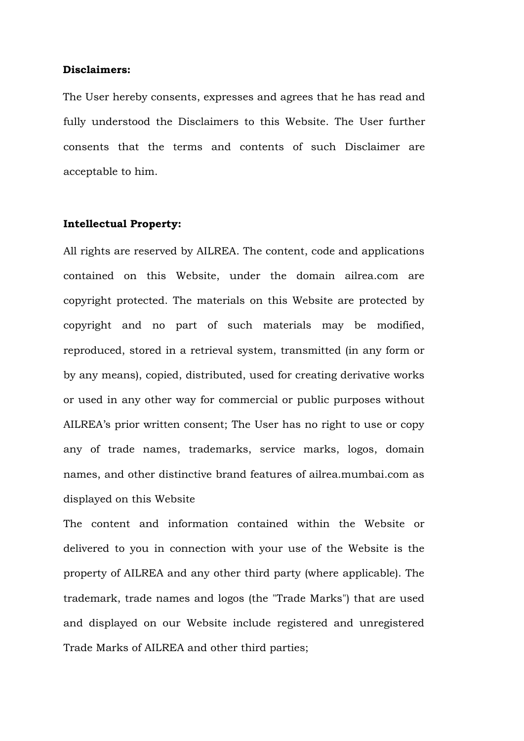#### **Disclaimers:**

The User hereby consents, expresses and agrees that he has read and fully understood the Disclaimers to this Website. The User further consents that the terms and contents of such Disclaimer are acceptable to him.

## **Intellectual Property:**

All rights are reserved by AILREA. The content, code and applications contained on this Website, under the domain ailrea.com are copyright protected. The materials on this Website are protected by copyright and no part of such materials may be modified, reproduced, stored in a retrieval system, transmitted (in any form or by any means), copied, distributed, used for creating derivative works or used in any other way for commercial or public purposes without AILREA's prior written consent; The User has no right to use or copy any of trade names, trademarks, service marks, logos, domain names, and other distinctive brand features of ailrea.mumbai.com as displayed on this Website

The content and information contained within the Website or delivered to you in connection with your use of the Website is the property of AILREA and any other third party (where applicable). The trademark, trade names and logos (the "Trade Marks") that are used and displayed on our Website include registered and unregistered Trade Marks of AILREA and other third parties;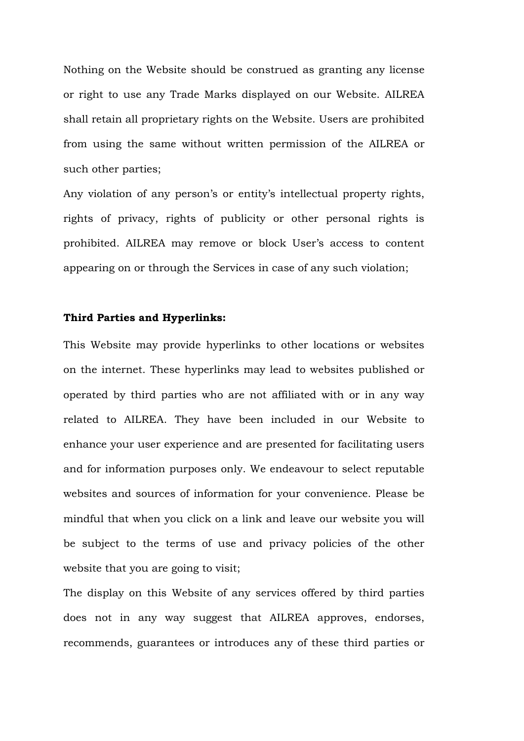Nothing on the Website should be construed as granting any license or right to use any Trade Marks displayed on our Website. AILREA shall retain all proprietary rights on the Website. Users are prohibited from using the same without written permission of the AILREA or such other parties;

Any violation of any person's or entity's intellectual property rights, rights of privacy, rights of publicity or other personal rights is prohibited. AILREA may remove or block User's access to content appearing on or through the Services in case of any such violation;

#### **Third Parties and Hyperlinks:**

This Website may provide hyperlinks to other locations or websites on the internet. These hyperlinks may lead to websites published or operated by third parties who are not affiliated with or in any way related to AILREA. They have been included in our Website to enhance your user experience and are presented for facilitating users and for information purposes only. We endeavour to select reputable websites and sources of information for your convenience. Please be mindful that when you click on a link and leave our website you will be subject to the terms of use and privacy policies of the other website that you are going to visit;

The display on this Website of any services offered by third parties does not in any way suggest that AILREA approves, endorses, recommends, guarantees or introduces any of these third parties or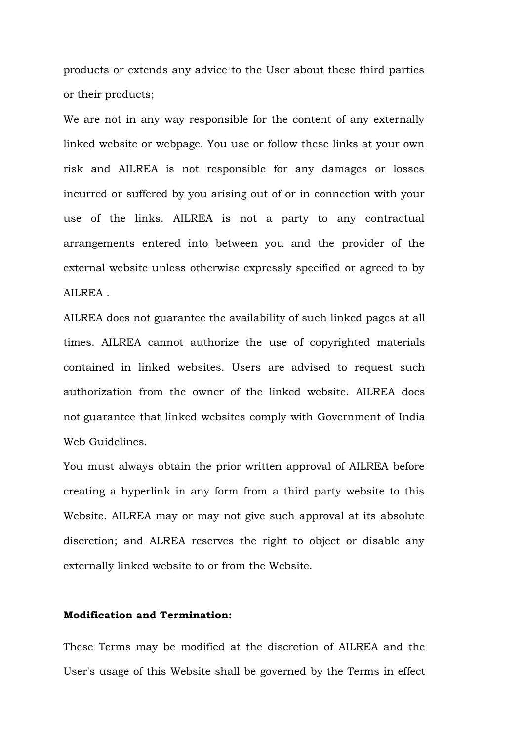products or extends any advice to the User about these third parties or their products;

We are not in any way responsible for the content of any externally linked website or webpage. You use or follow these links at your own risk and AILREA is not responsible for any damages or losses incurred or suffered by you arising out of or in connection with your use of the links. AILREA is not a party to any contractual arrangements entered into between you and the provider of the external website unless otherwise expressly specified or agreed to by AILREA .

AILREA does not guarantee the availability of such linked pages at all times. AILREA cannot authorize the use of copyrighted materials contained in linked websites. Users are advised to request such authorization from the owner of the linked website. AILREA does not guarantee that linked websites comply with Government of India Web Guidelines.

You must always obtain the prior written approval of AILREA before creating a hyperlink in any form from a third party website to this Website. AILREA may or may not give such approval at its absolute discretion; and ALREA reserves the right to object or disable any externally linked website to or from the Website.

# **Modification and Termination:**

These Terms may be modified at the discretion of AILREA and the User's usage of this Website shall be governed by the Terms in effect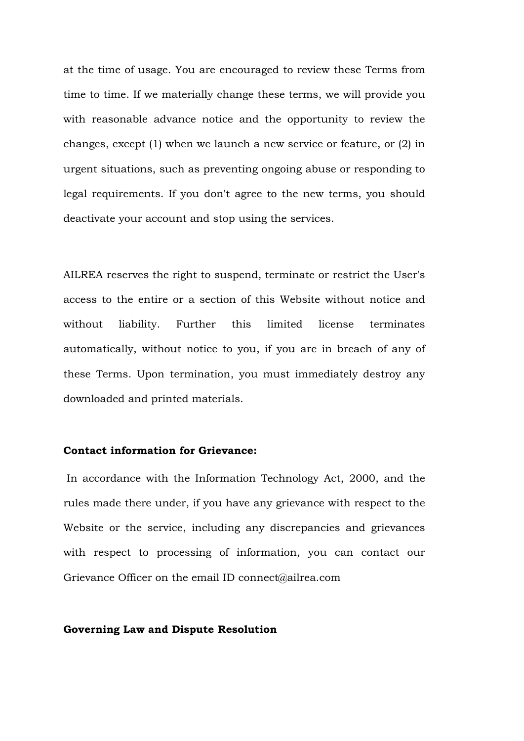at the time of usage. You are encouraged to review these Terms from time to time. If we materially change these terms, we will provide you with reasonable advance notice and the opportunity to review the changes, except (1) when we launch a new service or feature, or (2) in urgent situations, such as preventing ongoing abuse or responding to legal requirements. If you don't agree to the new terms, you should deactivate your account and stop using the services.

AILREA reserves the right to suspend, terminate or restrict the User's access to the entire or a section of this Website without notice and without liability. Further this limited license terminates automatically, without notice to you, if you are in breach of any of these Terms. Upon termination, you must immediately destroy any downloaded and printed materials.

# **Contact information for Grievance:**

In accordance with the Information Technology Act, 2000, and the rules made there under, if you have any grievance with respect to the Website or the service, including any discrepancies and grievances with respect to processing of information, you can contact our Grievance Officer on the email ID connect@ailrea.com

## **Governing Law and Dispute Resolution**